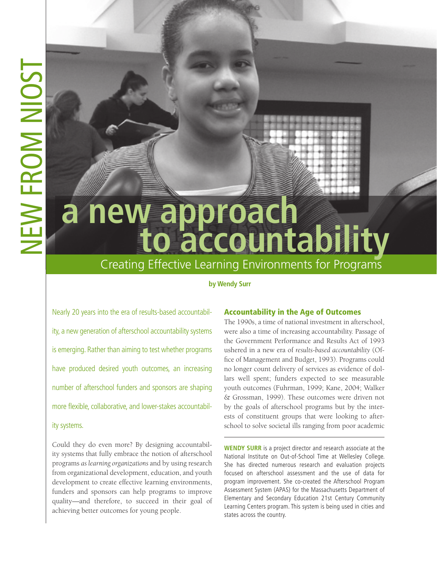# **a new approach to accountability**

# **by Wendy Surr** Creating Effective Learning Environments for Programs

# **by Wendy Surr**

Nearly 20 years into the era of results-based accountability, a new generation of afterschool accountability systems is emerging. Rather than aiming to test whether programs have produced desired youth outcomes, an increasing number of afterschool funders and sponsors are shaping more flexible, collaborative, and lower-stakes accountabil-

# ity systems.

Could they do even more? By designing accountability systems that fully embrace the notion of afterschool programs *as learning organizations* and by using research from organizational development, education, and youth development to create effective learning environments, funders and sponsors can help programs to improve quality—and therefore, to succeed in their goal of achieving better outcomes for young people.

# Accountability in the Age of Outcomes

The 1990s, a time of national investment in afterschool, were also a time of increasing accountability. Passage of the Government Performance and Results Act of 1993 ushered in a new era of *results-based accountability* (Office of Management and Budget, 1993). Programs could no longer count delivery of services as evidence of dollars well spent; funders expected to see measurable youth outcomes (Fuhrman, 1999; Kane, 2004; Walker & Grossman, 1999). These outcomes were driven not by the goals of afterschool programs but by the interests of constituent groups that were looking to afterschool to solve societal ills ranging from poor academic

**WENDY SURR** is a project director and research associate at the National Institute on Out-of-School Time at Wellesley College. She has directed numerous research and evaluation projects focused on afterschool assessment and the use of data for program improvement. She co-created the Afterschool Program Assessment System (APAS) for the Massachusetts Department of Elementary and Secondary Education 21st Century Community Learning Centers program. This system is being used in cities and states across the country.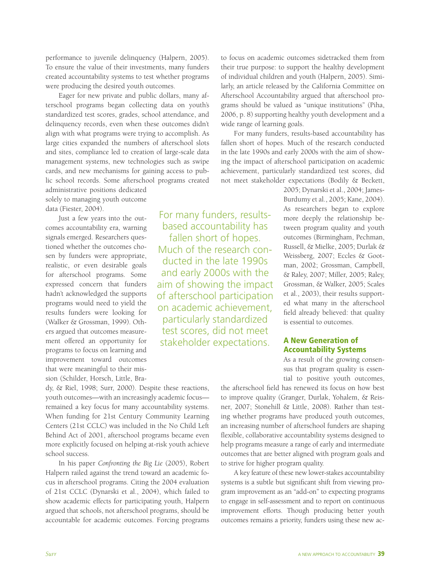performance to juvenile delinquency (Halpern, 2005). To ensure the value of their investments, many funders created accountability systems to test whether programs were producing the desired youth outcomes.

Eager for new private and public dollars, many afterschool programs began collecting data on youth's standardized test scores, grades, school attendance, and delinquency records, even when these outcomes didn't align with what programs were trying to accomplish. As large cities expanded the numbers of afterschool slots and sites, compliance led to creation of large-scale data management systems, new technologies such as swipe cards, and new mechanisms for gaining access to public school records. Some afterschool programs created

administrative positions dedicated solely to managing youth outcome data (Fiester, 2004).

Just a few years into the outcomes accountability era, warning signals emerged. Researchers questioned whether the outcomes chosen by funders were appropriate, realistic, or even desirable goals for afterschool programs. Some expressed concern that funders hadn't acknowledged the supports programs would need to yield the results funders were looking for (Walker & Grossman, 1999). Others argued that outcomes measurement offered an opportunity for programs to focus on learning and improvement toward outcomes that were meaningful to their mission (Schilder, Horsch, Little, Bra-

based accountability has fallen short of hopes. Much of the research conducted in the late 1990s and early 2000s with the aim of showing the impact of afterschool participation on academic achievement, particularly standardized test scores, did not meet stakeholder expectations.

For many funders, results-

to focus on academic outcomes sidetracked them from their true purpose: to support the healthy development of individual children and youth (Halpern, 2005). Similarly, an article released by the California Committee on Afterschool Accountability argued that afterschool programs should be valued as "unique institutions" (Piha, 2006, p. 8) supporting healthy youth development and a wide range of learning goals.

For many funders, results-based accountability has fallen short of hopes. Much of the research conducted in the late 1990s and early 2000s with the aim of showing the impact of afterschool participation on academic achievement, particularly standardized test scores, did not meet stakeholder expectations (Bodily & Beckett,

> 2005; Dynarski et al., 2004; James-Burdumy et al., 2005; Kane, 2004). As researchers began to explore more deeply the relationship between program quality and youth outcomes (Birmingham, Pechman, Russell, & Mielke, 2005; Durlak & Weissberg, 2007; Eccles & Gootman, 2002; Grossman, Campbell, & Raley, 2007; Miller, 2005; Raley, Grossman, & Walker, 2005; Scales et al., 2003), their results supported what many in the afterschool field already believed: that quality is essential to outcomes.

# A New Generation of Accountability Systems

As a result of the growing consensus that program quality is essential to positive youth outcomes,

dy, & Riel, 1998; Surr, 2000). Despite these reactions, youth outcomes—with an increasingly academic focus remained a key focus for many accountability systems. When funding for 21st Century Community Learning Centers (21st CCLC) was included in the No Child Left Behind Act of 2001, afterschool programs became even more explicitly focused on helping at-risk youth achieve school success.

In his paper *Confronting the Big Lie* (2005), Robert Halpern railed against the trend toward an academic focus in afterschool programs. Citing the 2004 evaluation of 21st CCLC (Dynarski et al., 2004), which failed to show academic effects for participating youth, Halpern argued that schools, not afterschool programs, should be accountable for academic outcomes. Forcing programs

the afterschool field has renewed its focus on how best to improve quality (Granger, Durlak, Yohalem, & Reisner, 2007; Stonehill & Little, 2008). Rather than testing whether programs have produced youth outcomes, an increasing number of afterschool funders are shaping flexible, collaborative accountability systems designed to help programs measure a range of early and intermediate outcomes that are better aligned with program goals and to strive for higher program quality.

A key feature of these new lower-stakes accountability systems is a subtle but significant shift from viewing program improvement as an "add-on" to expecting programs to engage in self-assessment and to report on continuous improvement efforts. Though producing better youth outcomes remains a priority, funders using these new ac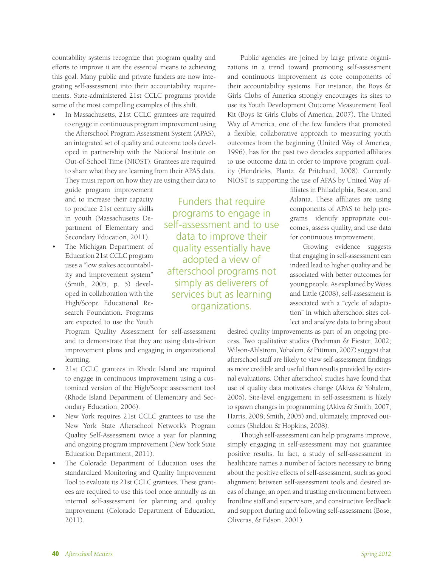countability systems recognize that program quality and efforts to improve it are the essential means to achieving this goal. Many public and private funders are now integrating self-assessment into their accountability requirements. State-administered 21st CCLC programs provide some of the most compelling examples of this shift.

In Massachusetts, 21st CCLC grantees are required to engage in continuous program improvement using the Afterschool Program Assessment System (APAS), an integrated set of quality and outcome tools developed in partnership with the National Institute on Out-of-School Time (NIOST). Grantees are required to share what they are learning from their APAS data. They must report on how they are using their data to

guide program improvement and to increase their capacity to produce 21st century skills in youth (Massachusetts Department of Elementary and Secondary Education, 2011).

The Michigan Department of Education 21st CCLC program uses a "low stakes accountability and improvement system" (Smith, 2005, p. 5) developed in collaboration with the High/Scope Educational Research Foundation. Programs are expected to use the Youth

quality essentially have adopted a view of afterschool programs not simply as deliverers of services but as learning organizations.

Funders that require programs to engage in self-assessment and to use data to improve their

Program Quality Assessment for self-assessment and to demonstrate that they are using data-driven improvement plans and engaging in organizational learning.

- 21st CCLC grantees in Rhode Island are required to engage in continuous improvement using a customized version of the High/Scope assessment tool (Rhode Island Department of Elementary and Secondary Education, 2006).
- New York requires 21st CCLC grantees to use the New York State Afterschool Network's Program Quality Self-Assessment twice a year for planning and ongoing program improvement (New York State Education Department, 2011).
- The Colorado Department of Education uses the standardized Monitoring and Quality Improvement Tool to evaluate its 21st CCLC grantees. These grantees are required to use this tool once annually as an internal self-assessment for planning and quality improvement (Colorado Department of Education, 2011).

Public agencies are joined by large private organizations in a trend toward promoting self-assessment and continuous improvement as core components of their accountability systems. For instance, the Boys & Girls Clubs of America strongly encourages its sites to use its Youth Development Outcome Measurement Tool Kit (Boys & Girls Clubs of America, 2007). The United Way of America, one of the few funders that promoted a flexible, collaborative approach to measuring youth outcomes from the beginning (United Way of America, 1996), has for the past two decades supported affiliates to use outcome data in order to improve program quality (Hendricks, Plantz, & Pritchard, 2008). Currently NIOST is supporting the use of APAS by United Way af-

> filiates in Philadelphia, Boston, and Atlanta. These affiliates are using components of APAS to help programs identify appropriate outcomes, assess quality, and use data for continuous improvement.

> Growing evidence suggests that engaging in self-assessment can indeed lead to higher quality and be associated with better outcomes for young people. As explained by Weiss and Little (2008), self-assessment is associated with a "cycle of adaptation" in which afterschool sites collect and analyze data to bring about

desired quality improvements as part of an ongoing process. Two qualitative studies (Pechman & Fiester, 2002; Wilson-Ahlstrom, Yohalem, & Pittman, 2007) suggest that afterschool staff are likely to view self-assessment findings as more credible and useful than results provided by external evaluations. Other afterschool studies have found that use of quality data motivates change (Akiva & Yohalem, 2006). Site-level engagement in self-assessment is likely to spawn changes in programming (Akiva & Smith, 2007; Harris, 2008; Smith, 2005) and, ultimately, improved outcomes (Sheldon & Hopkins, 2008).

Though self-assessment can help programs improve, simply engaging in self-assessment may not guarantee positive results. In fact, a study of self-assessment in healthcare names a number of factors necessary to bring about the positive effects of self-assessment, such as good alignment between self-assessment tools and desired areas of change, an open and trusting environment between frontline staff and supervisors, and constructive feedback and support during and following self-assessment (Bose, Oliveras, & Edson, 2001).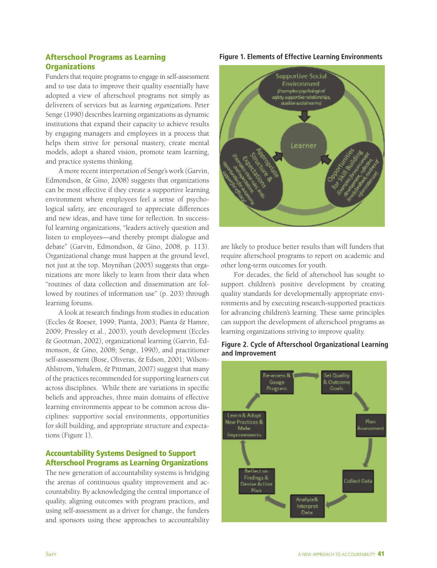# Afterschool Programs as Learning **Organizations**

Funders that require programs to engage in self-assessment and to use data to improve their quality essentially have adopted a view of afterschool programs not simply as deliverers of services but as *learning organizations.* Peter Senge (1990) describes learning organizations as dynamic institutions that expand their capacity to achieve results by engaging managers and employees in a process that helps them strive for personal mastery, create mental models, adopt a shared vision, promote team learning, and practice systems thinking.

A more recent interpretation of Senge's work (Garvin, Edmondson, & Gino, 2008) suggests that organizations can be most effective if they create a supportive learning environment where employees feel a sense of psychological safety, are encouraged to appreciate differences and new ideas, and have time for reflection. In successful learning organizations, "leaders actively question and listen to employees—and thereby prompt dialogue and debate" (Garvin, Edmondson, & Gino, 2008, p. 113). Organizational change must happen at the ground level, not just at the top. Moynihan (2005) suggests that organizations are more likely to learn from their data when "routines of data collection and dissemination are followed by routines of information use" (p. 203) through learning forums.

A look at research findings from studies in education (Eccles & Roeser, 1999; Pianta, 2003; Pianta & Hamre, 2009; Pressley et al., 2003), youth development (Eccles & Gootman, 2002), organizational learning (Garvin, Edmonson, & Gino, 2008; Senge, 1990), and practitioner self-assessment (Bose, Oliveras, & Edson, 2001; Wilson-Ahlstrom, Yohalem, & Pittman, 2007) suggest that many of the practices recommended for supporting learners cut across disciplines. While there are variations in specific beliefs and approaches, three main domains of effective learning environments appear to be common across disciplines: supportive social environments, opportunities for skill building, and appropriate structure and expectations (Figure 1).

# Accountability Systems Designed to Support Afterschool Programs as Learning Organizations

The new generation of accountability systems is bridging the arenas of continuous quality improvement and accountability. By acknowledging the central importance of quality, aligning outcomes with program practices, and using self-assessment as a driver for change, the funders and sponsors using these approaches to accountability

#### **Figure 1. Elements of Effective Learning Environments**



are likely to produce better results than will funders that require afterschool programs to report on academic and other long-term outcomes for youth.

For decades, the field of afterschool has sought to support children's positive development by creating quality standards for developmentally appropriate environments and by executing research-supported practices for advancing children's learning. These same principles can support the development of afterschool programs as learning organizations striving to improve quality.

#### **Figure 2. Cycle of Afterschool Organizational Learning and Improvement**

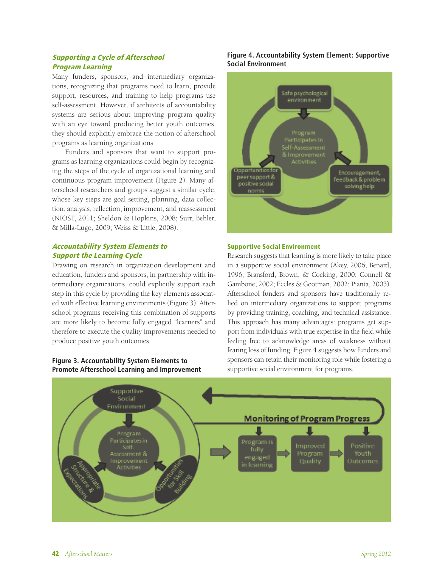# Supporting a Cycle of Afterschool Program Learning

Many funders, sponsors, and intermediary organizations, recognizing that programs need to learn, provide support, resources, and training to help programs use self-assessment. However, if architects of accountability systems are serious about improving program quality with an eye toward producing better youth outcomes, they should explicitly embrace the notion of afterschool programs as learning organizations.

Funders and sponsors that want to support programs as learning organizations could begin by recognizing the steps of the cycle of organizational learning and continuous program improvement (Figure 2). Many afterschool researchers and groups suggest a similar cycle, whose key steps are goal setting, planning, data collection, analysis, reflection, improvement, and reassessment (NIOST, 2011; Sheldon & Hopkins, 2008; Surr, Behler, & Milla-Lugo, 2009; Weiss & Little, 2008).

# Accountability System Elements to Support the Learning Cycle

Drawing on research in organization development and education, funders and sponsors, in partnership with intermediary organizations, could explicitly support each step in this cycle by providing the key elements associated with effective learning environments (Figure 3). Afterschool programs receiving this combination of supports are more likely to become fully engaged "learners" and therefore to execute the quality improvements needed to produce positive youth outcomes.

#### **Figure 3. Accountability System Elements to Promote Afterschool Learning and Improvement**

# **Figure 4. Accountability System Element: Supportive Social Environment**



#### Supportive Social Environment

Research suggests that learning is more likely to take place in a supportive social environment (Akey, 2006; Benard, 1996; Bransford, Brown, & Cocking, 2000; Connell & Gambone, 2002; Eccles & Gootman, 2002; Pianta, 2003). Afterschool funders and sponsors have traditionally relied on intermediary organizations to support programs by providing training, coaching, and technical assistance. This approach has many advantages: programs get support from individuals with true expertise in the field while feeling free to acknowledge areas of weakness without fearing loss of funding. Figure 4 suggests how funders and sponsors can retain their monitoring role while fostering a supportive social environment for programs.

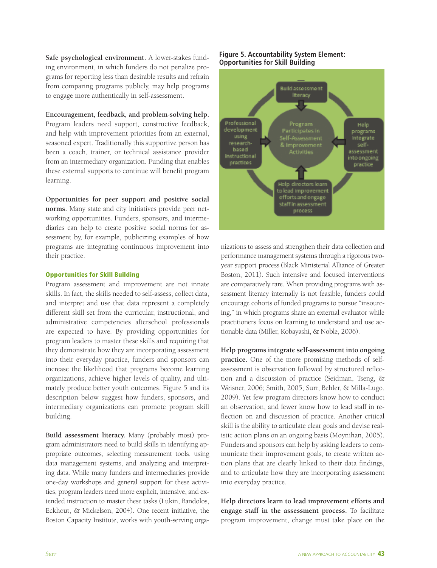**Safe psychological environment.** A lower-stakes funding environment, in which funders do not penalize programs for reporting less than desirable results and refrain from comparing programs publicly, may help programs to engage more authentically in self-assessment.

#### **Encouragement, feedback, and problem-solving help.**

Program leaders need support, constructive feedback, and help with improvement priorities from an external, seasoned expert. Traditionally this supportive person has been a coach, trainer, or technical assistance provider from an intermediary organization. Funding that enables these external supports to continue will benefit program learning.

#### **Opportunities for peer support and positive social**

**norms.** Many state and city initiatives provide peer networking opportunities. Funders, sponsors, and intermediaries can help to create positive social norms for assessment by, for example, publicizing examples of how programs are integrating continuous improvement into their practice.

#### Opportunities for Skill Building

Program assessment and improvement are not innate skills. In fact, the skills needed to self-assess, collect data, and interpret and use that data represent a completely different skill set from the curricular, instructional, and administrative competencies afterschool professionals are expected to have. By providing opportunities for program leaders to master these skills and requiring that they demonstrate how they are incorporating assessment into their everyday practice, funders and sponsors can increase the likelihood that programs become learning organizations, achieve higher levels of quality, and ultimately produce better youth outcomes. Figure 5 and its description below suggest how funders, sponsors, and intermediary organizations can promote program skill building.

**Build assessment literacy.** Many (probably most) program administrators need to build skills in identifying appropriate outcomes, selecting measurement tools, using data management systems, and analyzing and interpreting data. While many funders and intermediaries provide one-day workshops and general support for these activities, program leaders need more explicit, intensive, and extended instruction to master these tasks (Lukin, Bandolos, Eckhout, & Mickelson, 2004). One recent initiative, the Boston Capacity Institute, works with youth-serving orga-

#### **Figure 5. Accountability System Element: Opportunities for Skill Building**



nizations to assess and strengthen their data collection and performance management systems through a rigorous twoyear support process (Black Ministerial Alliance of Greater Boston, 2011). Such intensive and focused interventions are comparatively rare. When providing programs with assessment literacy internally is not feasible, funders could encourage cohorts of funded programs to pursue "insourcing," in which programs share an external evaluator while practitioners focus on learning to understand and use actionable data (Miller, Kobayashi, & Noble, 2006).

**Help programs integrate self-assessment into ongoing practice.** One of the more promising methods of selfassessment is observation followed by structured reflection and a discussion of practice (Seidman, Tseng, & Weisner, 2006; Smith, 2005; Surr, Behler, & Milla-Lugo, 2009). Yet few program directors know how to conduct an observation, and fewer know how to lead staff in reflection on and discussion of practice. Another critical skill is the ability to articulate clear goals and devise realistic action plans on an ongoing basis (Moynihan, 2005). Funders and sponsors can help by asking leaders to communicate their improvement goals, to create written action plans that are clearly linked to their data findings, and to articulate how they are incorporating assessment into everyday practice.

**Help directors learn to lead improvement efforts and engage staff in the assessment process.** To facilitate program improvement, change must take place on the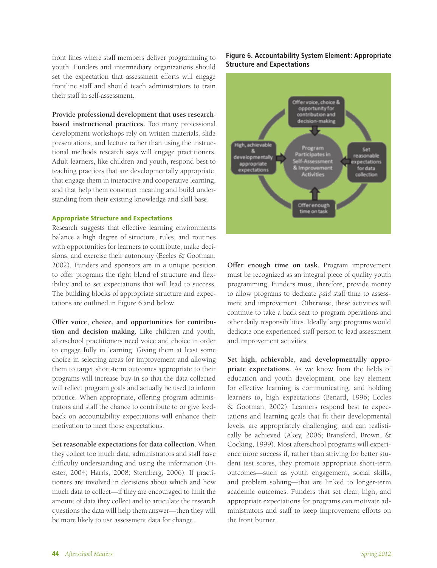front lines where staff members deliver programming to youth. Funders and intermediary organizations should set the expectation that assessment efforts will engage frontline staff and should teach administrators to train their staff in self-assessment.

**Provide professional development that uses researchbased instructional practices.** Too many professional development workshops rely on written materials, slide presentations, and lecture rather than using the instructional methods research says will engage practitioners. Adult learners, like children and youth, respond best to teaching practices that are developmentally appropriate, that engage them in interactive and cooperative learning, and that help them construct meaning and build understanding from their existing knowledge and skill base.

#### Appropriate Structure and Expectations

Research suggests that effective learning environments balance a high degree of structure, rules, and routines with opportunities for learners to contribute, make decisions, and exercise their autonomy (Eccles & Gootman, 2002). Funders and sponsors are in a unique position to offer programs the right blend of structure and flexibility and to set expectations that will lead to success. The building blocks of appropriate structure and expectations are outlined in Figure 6 and below.

**Offer voice, choice, and opportunities for contribution and decision making.** Like children and youth, afterschool practitioners need voice and choice in order to engage fully in learning. Giving them at least some choice in selecting areas for improvement and allowing them to target short-term outcomes appropriate to their programs will increase buy-in so that the data collected will reflect program goals and actually be used to inform practice. When appropriate, offering program administrators and staff the chance to contribute to or give feedback on accountability expectations will enhance their motivation to meet those expectations.

**Set reasonable expectations for data collection.** When they collect too much data, administrators and staff have difficulty understanding and using the information (Fiester, 2004; Harris, 2008; Sternberg, 2006). If practitioners are involved in decisions about which and how much data to collect—if they are encouraged to limit the amount of data they collect and to articulate the research questions the data will help them answer—then they will be more likely to use assessment data for change.

#### **Figure 6. Accountability System Element: Appropriate Structure and Expectations**



**Offer enough time on task.** Program improvement must be recognized as an integral piece of quality youth programming. Funders must, therefore, provide money to allow programs to dedicate *paid* staff time to assessment and improvement. Otherwise, these activities will continue to take a back seat to program operations and other daily responsibilities. Ideally large programs would dedicate one experienced staff person to lead assessment and improvement activities.

**Set high, achievable, and developmentally appropriate expectations.** As we know from the fields of education and youth development, one key element for effective learning is communicating, and holding learners to, high expectations (Benard, 1996; Eccles & Gootman, 2002). Learners respond best to expectations and learning goals that fit their developmental levels, are appropriately challenging, and can realistically be achieved (Akey, 2006; Bransford, Brown, & Cocking, 1999). Most afterschool programs will experience more success if, rather than striving for better student test scores, they promote appropriate short-term outcomes—such as youth engagement, social skills, and problem solving—that are linked to longer-term academic outcomes. Funders that set clear, high, and appropriate expectations for programs can motivate administrators and staff to keep improvement efforts on the front burner.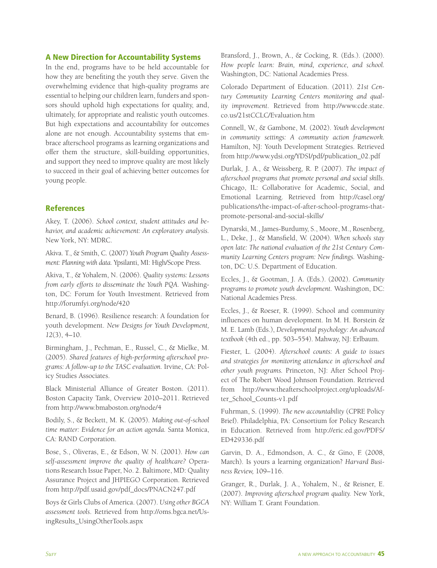#### A New Direction for Accountability Systems

In the end, programs have to be held accountable for how they are benefiting the youth they serve. Given the overwhelming evidence that high-quality programs are essential to helping our children learn, funders and sponsors should uphold high expectations for quality, and, ultimately, for appropriate and realistic youth outcomes. But high expectations and accountability for outcomes alone are not enough. Accountability systems that embrace afterschool programs as learning organizations and offer them the structure, skill-building opportunities, and support they need to improve quality are most likely to succeed in their goal of achieving better outcomes for young people.

### **References**

Akey, T. (2006). *School context, student attitudes and behavior, and academic achievement: An exploratory analysis.* New York, NY: MDRC.

Akiva. T., & Smith, C. (2007) *Youth Program Quality Assessment: Planning with data.* Ypsilanti, MI: High/Scope Press.

Akiva, T., & Yohalem, N. (2006). *Quality systems: Lessons from early efforts to disseminate the Youth PQA.* Washington, DC: Forum for Youth Investment. Retrieved from http://forumfyi.org/node/420

Benard, B. (1996). Resilience research: A foundation for youth development. *New Designs for Youth Development, 12*(3), 4–10.

Birmingham, J., Pechman, E., Russel, C., & Mielke, M. (2005). *Shared features of high-performing afterschool programs: A follow-up to the TASC evaluation.* Irvine, CA: Policy Studies Associates.

Black Ministerial Alliance of Greater Boston. (2011). Boston Capacity Tank, Overview 2010–2011. Retrieved from http://www.bmaboston.org/node/4

Bodily, S., & Beckett, M. K. (2005). *Making out-of-school time matter: Evidence for an action agenda.* Santa Monica, CA: RAND Corporation.

Bose, S., Oliveras, E., & Edson, W. N. (2001). *How can self-assessment improve the quality of healthcare?* Operations Research Issue Paper, No. 2. Baltimore, MD: Quality Assurance Project and JHPIEGO Corporation. Retrieved from http://pdf.usaid.gov/pdf\_docs/PNACN247.pdf

Boys & Girls Clubs of America. (2007). *Using other BGCA assessment tools*. Retrieved from http://oms.bgca.net/UsingResults\_UsingOtherTools.aspx

Bransford, J., Brown, A., & Cocking, R. (Eds.). (2000). *How people learn: Brain, mind, experience, and school.*  Washington, DC: National Academies Press.

Colorado Department of Education. (2011). *21st Century Community Learning Centers monitoring and quality improvement*. Retrieved from http://www.cde.state. co.us/21stCCLC/Evaluation.htm

Connell, W., & Gambone, M. (2002). *Youth development in community settings: A community action framework.* Hamilton, NJ: Youth Development Strategies. Retrieved from http://www.ydsi.org/YDSI/pdf/publication\_02.pdf

Durlak, J. A., & Weissberg, R. P. (2007). *The impact of afterschool programs that promote personal and social skills*. Chicago, IL: Collaborative for Academic, Social, and Emotional Learning. Retrieved from http://casel.org/ publications/the-impact-of-after-school-programs-thatpromote-personal-and-social-skills/

Dynarski, M., James-Burdumy, S., Moore, M., Rosenberg, L., Deke, J., & Mansfield, W. (2004). *When schools stay open late: The national evaluation of the 21st Century Community Learning Centers program: New findings.* Washington, DC: U.S. Department of Education.

Eccles, J., & Gootman, J. A. (Eds.). (2002). *Community programs to promote youth development.* Washington, DC: National Academies Press.

Eccles, J., & Roeser, R. (1999). School and community influences on human development. In M. H. Borstein & M. E. Lamb (Eds.), *Developmental psychology: An advanced textbook* (4th ed., pp. 503–554). Mahway, NJ: Erlbaum.

Fiester, L. (2004). *Afterschool counts: A guide to issues and strategies for monitoring attendance in afterschool and other youth programs.* Princeton, NJ: After School Project of The Robert Wood Johnson Foundation. Retrieved from http://www.theafterschoolproject.org/uploads/After\_School\_Counts-v1.pdf

Fuhrman, S. (1999). *The new accountability* (CPRE Policy Brief). Philadelphia, PA: Consortium for Policy Research in Education. Retrieved from http://eric.ed.gov/PDFS/ ED429336.pdf

Garvin, D. A., Edmondson, A. C., & Gino, F. (2008, March). Is yours a learning organization? *Harvard Business Review,* 109–116.

Granger, R., Durlak, J. A., Yohalem, N., & Reisner, E. (2007). *Improving afterschool program quality.* New York, NY: William T. Grant Foundation.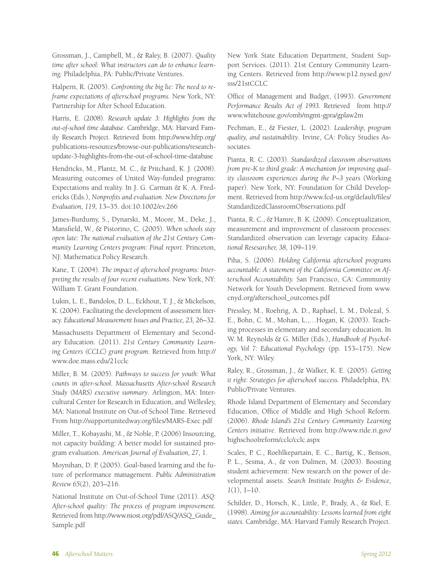Grossman, J., Campbell, M., & Raley, B. (2007). *Quality time after school: What instructors can do to enhance learning.* Philadelphia, PA: Public/Private Ventures.

Halpern, R. (2005). *Confronting the big lie: The need to reframe expectations of afterschool programs.* New York, NY: Partnership for After School Education.

Harris, E. (2008). *Research update 3: Highlights from the out-of-school time database*. Cambridge, MA: Harvard Family Research Project. Retrieved from http://www.hfrp.org/ publications-resources/browse-our-publications/researchupdate-3-highlights-from-the-out-of-school-time-database

Hendricks, M., Plantz, M. C., & Pritchard, K. J. (2008). Measuring outcomes of United Way-funded programs: Expectations and reality. In J. G. Carman & K. A. Fredericks (Eds.), *Nonprofits and evaluation. New Directions for Evaluation, 119,* 13–35. doi:10.1002/ev.266

James-Burdumy, S., Dynarski, M., Moore, M., Deke, J., Mansfield, W., & Pistorino, C. (2005). *When schools stay open late: The national evaluation of the 21st Century Community Learning Centers program: Final report.* Princeton, NJ: Mathematica Policy Research.

Kane, T. (2004). *The impact of afterschool programs: Interpreting the results of four recent evaluations.* New York, NY: William T. Grant Foundation.

Lukin, L. E., Bandolos, D. L., Eckhout, T. J., & Mickelson, K. (2004). Facilitating the development of assessment literacy. *Educational Measurement Issues and Practice, 23,* 26–32.

Massachusetts Department of Elementary and Secondary Education. (2011). *21st Century Community Learning Centers (CCLC) grant program*. Retrieved from http:// www.doe.mass.edu/21cclc

Miller, B. M. (2005). *Pathways to success for youth: What counts in after-school. Massachusetts After-school Research Study (MARS) executive summary*. Arlington, MA: Intercultural Center for Research in Education, and Wellesley, MA: National Institute on Out-of School Time. Retrieved From http://supportunitedway.org/files/MARS-Exec.pdf

Miller, T., Kobayashi, M., & Noble, P. (2006) Insourcing, not capacity building: A better model for sustained program evaluation. *American Journal of Evaluation, 27,* 1.

Moynihan, D. P. (2005). Goal-based learning and the future of performance management. *Public Administration Review 65*(2), 203–216.

National Institute on Out-of-School Time (2011). *ASQ: After-school quality: The process of program improvement.* Retrieved from http://www.niost.org/pdf/ASQ/ASQ\_Guide\_ Sample.pdf

New York State Education Department, Student Support Services. (2011). 21st Century Community Learning Centers. Retrieved from http://www.p12.nysed.gov/ sss/21stCCLC

Office of Management and Budget, (1993). *Government Performance Results Act of 1993.* Retrieved from http:// www.whitehouse.gov/omb/mgmt-gpra/gplaw2m

Pechman, E., & Fiester, L. (2002). *Leadership, program quality, and sustainability*. Irvine, CA: Policy Studies Associates.

Pianta, R. C. (2003). *Standardized classroom observations from pre-K to third grade: A mechanism for improving quality classroom experiences during the P–3 years* (Working paper). New York, NY: Foundation for Child Development. Retrieved from http://www.fcd-us.org/default/files/ StandardizedClassroomObservations.pdf

Pianta, R. C., & Hamre, B. K. (2009). Conceptualization, measurement and improvement of classroom processes: Standardized observation can leverage capacity. *Educational Resesarcher, 38,* 109–119.

Piha, S. (2006). *Holding California afterschool programs accountable: A statement of the California Committee on Afterschool Accountability.* San Francisco, CA: Community Network for Youth Development. Retrieved from www. cnyd.org/afterschool\_outcomes.pdf

Pressley, M., Roehrig, A. D., Raphael, L. M., Dolezal, S. E., Bohn, C. M., Mohan, L.,…Hogan, K. (2003). Teaching processes in elementary and secondary education. In W. M. Reynolds & G. Miller (Eds.), *Handbook of Psychology, Vol 7: Educational Psychology* (pp. 153–175). New York, NY: Wiley.

Raley, R., Grossman, J., & Walker, K. E. (2005). *Getting it right: Strategies for afterschool success.* Philadelphia, PA: Public/Private Ventures.

Rhode Island Department of Elementary and Secondary Education, Office of Middle and High School Reform. (2006). *Rhode Island's 21st Century Community Learning Centers initiative*. Retrieved from http://www.ride.ri.gov/ highschoolreform/cclc/cclc.aspx

Scales, P. C., Roehlkepartain, E. C., Bartig, K., Benson, P. L., Sesma, A., & von Dulmen, M. (2003). Boosting student achievement: New research on the power of developmental assets. *Search Institute Insights & Evidence, 1*(1), 1–10.

Schilder, D., Horsch, K., Little, P., Brady, A., & Riel, E. (1998). *Aiming for accountability: Lessons learned from eight states.* Cambridge, MA: Harvard Family Research Project.